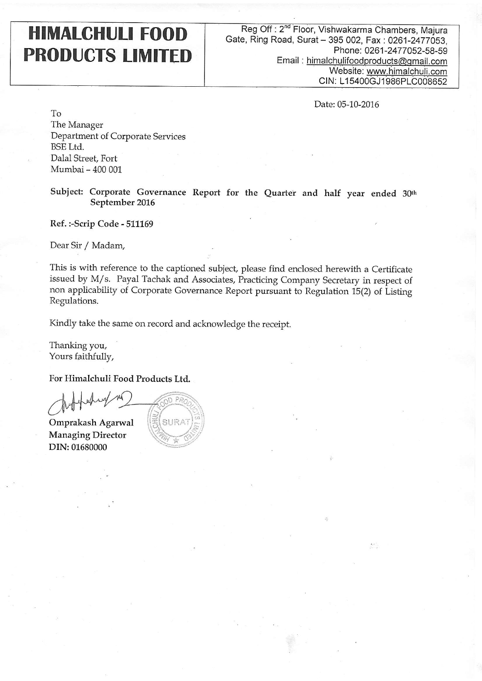## **HIMALCHULI FOOD PRODUCTS LIMITED**

Reg Off: 2<sup>nd</sup> Floor, Vishwakarma Chambers, Majura Gate, Ring Road, Surat - 395 002, Fax: 0261-2477053, Phone: 0261-2477052-58-59 Email: himalchulifoodproducts@gmail.com Website: www.himalchuli.com CIN: L15400GJ1986PLC008652

Date: 05-10-2016

经。

To The Manager Department of Corporate Services **BSE Ltd.** Dalal Street, Fort Mumbai - 400 001

Subject: Corporate Governance Report for the Quarter and half year ended 30th September 2016

Ref.:-Scrip Code - 511169

Dear Sir / Madam,

This is with reference to the captioned subject, please find enclosed herewith a Certificate issued by M/s. Payal Tachak and Associates, Practicing Company Secretary in respect of non applicability of Corporate Governance Report pursuant to Regulation 15(2) of Listing Regulations.

Kindly take the same on record and acknowledge the receipt.

Thanking you, Yours faithfully,

For Himalchuli Food Products Ltd.

Omprakash Agarwal **Managing Director** DIN: 01680000